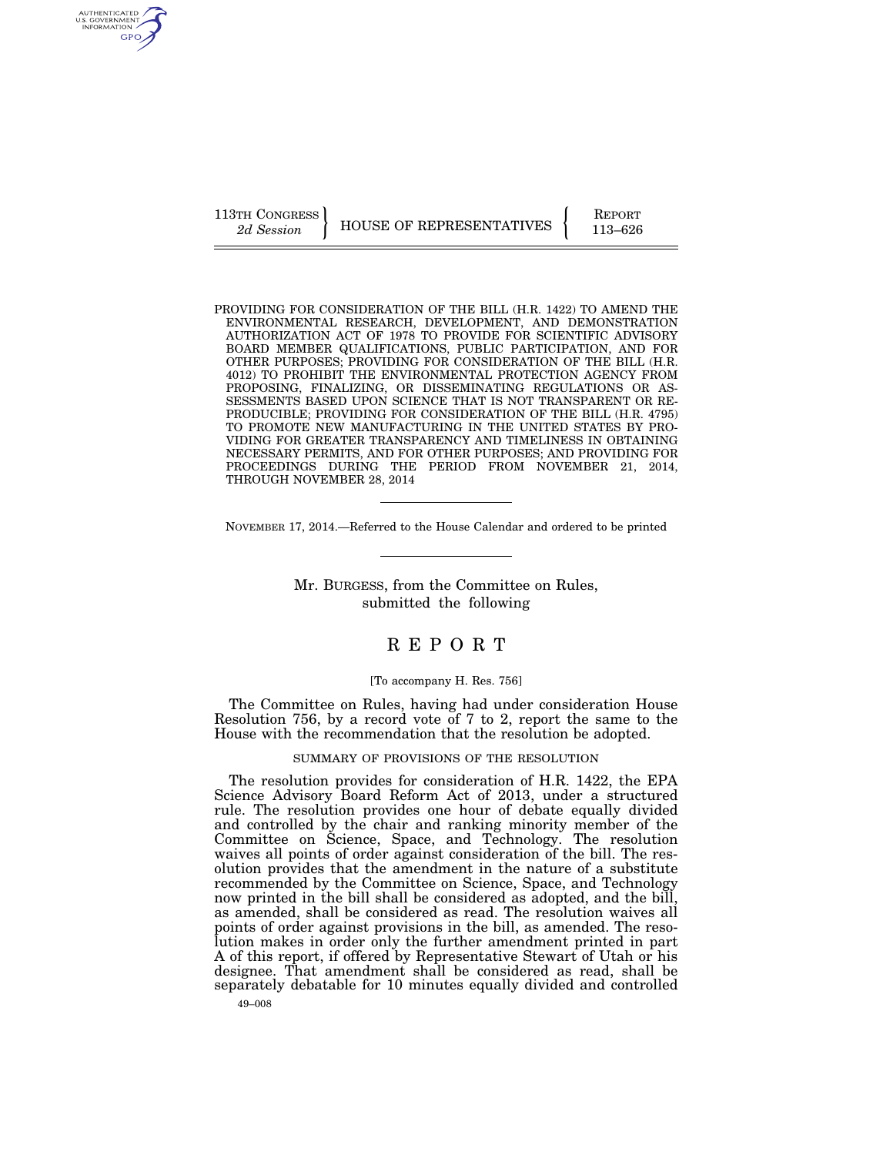113TH CONGRESS HOUSE OF REPRESENTATIVES FEPORT 113–626

AUTHENTICATED<br>U.S. GOVERNMENT<br>INFORMATION GPO

PROVIDING FOR CONSIDERATION OF THE BILL (H.R. 1422) TO AMEND THE ENVIRONMENTAL RESEARCH, DEVELOPMENT, AND DEMONSTRATION AUTHORIZATION ACT OF 1978 TO PROVIDE FOR SCIENTIFIC ADVISORY BOARD MEMBER QUALIFICATIONS, PUBLIC PARTICIPATION, AND FOR OTHER PURPOSES; PROVIDING FOR CONSIDERATION OF THE BILL (H.R. 4012) TO PROHIBIT THE ENVIRONMENTAL PROTECTION AGENCY FROM PROPOSING, FINALIZING, OR DISSEMINATING REGULATIONS OR AS-SESSMENTS BASED UPON SCIENCE THAT IS NOT TRANSPARENT OR RE-PRODUCIBLE; PROVIDING FOR CONSIDERATION OF THE BILL (H.R. 4795) TO PROMOTE NEW MANUFACTURING IN THE UNITED STATES BY PRO-VIDING FOR GREATER TRANSPARENCY AND TIMELINESS IN OBTAINING NECESSARY PERMITS, AND FOR OTHER PURPOSES; AND PROVIDING FOR PROCEEDINGS DURING THE PERIOD FROM NOVEMBER 21, 2014, THROUGH NOVEMBER 28, 2014

NOVEMBER 17, 2014.—Referred to the House Calendar and ordered to be printed

Mr. BURGESS, from the Committee on Rules, submitted the following

# R E P O R T

### [To accompany H. Res. 756]

The Committee on Rules, having had under consideration House Resolution 756, by a record vote of 7 to 2, report the same to the House with the recommendation that the resolution be adopted.

## SUMMARY OF PROVISIONS OF THE RESOLUTION

The resolution provides for consideration of H.R. 1422, the EPA Science Advisory Board Reform Act of 2013, under a structured rule. The resolution provides one hour of debate equally divided and controlled by the chair and ranking minority member of the Committee on Science, Space, and Technology. The resolution waives all points of order against consideration of the bill. The resolution provides that the amendment in the nature of a substitute recommended by the Committee on Science, Space, and Technology now printed in the bill shall be considered as adopted, and the bill, as amended, shall be considered as read. The resolution waives all points of order against provisions in the bill, as amended. The resolution makes in order only the further amendment printed in part A of this report, if offered by Representative Stewart of Utah or his designee. That amendment shall be considered as read, shall be separately debatable for 10 minutes equally divided and controlled

49–008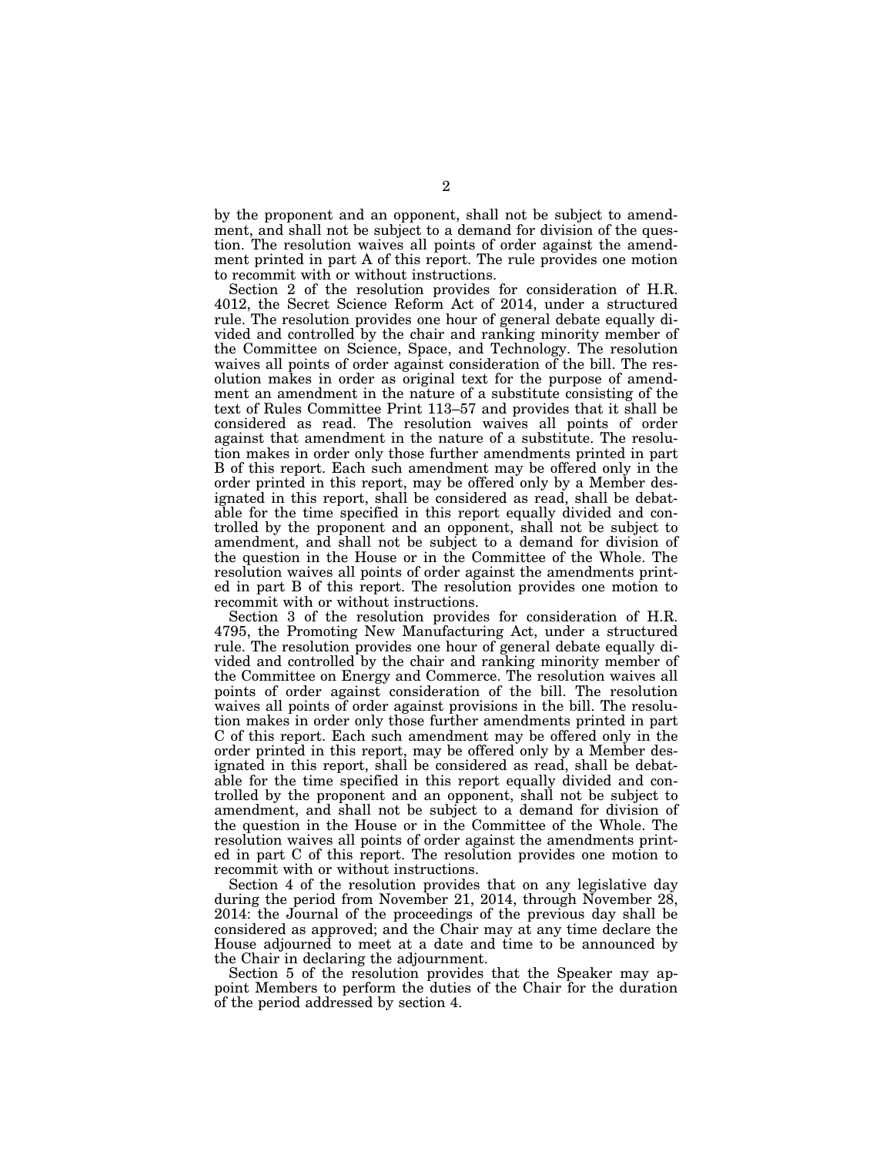by the proponent and an opponent, shall not be subject to amendment, and shall not be subject to a demand for division of the question. The resolution waives all points of order against the amendment printed in part A of this report. The rule provides one motion to recommit with or without instructions.

Section 2 of the resolution provides for consideration of H.R. 4012, the Secret Science Reform Act of 2014, under a structured rule. The resolution provides one hour of general debate equally divided and controlled by the chair and ranking minority member of the Committee on Science, Space, and Technology. The resolution waives all points of order against consideration of the bill. The resolution makes in order as original text for the purpose of amendment an amendment in the nature of a substitute consisting of the text of Rules Committee Print 113–57 and provides that it shall be considered as read. The resolution waives all points of order against that amendment in the nature of a substitute. The resolution makes in order only those further amendments printed in part B of this report. Each such amendment may be offered only in the order printed in this report, may be offered only by a Member designated in this report, shall be considered as read, shall be debatable for the time specified in this report equally divided and controlled by the proponent and an opponent, shall not be subject to amendment, and shall not be subject to a demand for division of the question in the House or in the Committee of the Whole. The resolution waives all points of order against the amendments printed in part B of this report. The resolution provides one motion to recommit with or without instructions.

Section 3 of the resolution provides for consideration of H.R. 4795, the Promoting New Manufacturing Act, under a structured rule. The resolution provides one hour of general debate equally divided and controlled by the chair and ranking minority member of the Committee on Energy and Commerce. The resolution waives all points of order against consideration of the bill. The resolution waives all points of order against provisions in the bill. The resolution makes in order only those further amendments printed in part C of this report. Each such amendment may be offered only in the order printed in this report, may be offered only by a Member designated in this report, shall be considered as read, shall be debatable for the time specified in this report equally divided and controlled by the proponent and an opponent, shall not be subject to amendment, and shall not be subject to a demand for division of the question in the House or in the Committee of the Whole. The resolution waives all points of order against the amendments printed in part C of this report. The resolution provides one motion to recommit with or without instructions.

Section 4 of the resolution provides that on any legislative day during the period from November 21, 2014, through November 28, 2014: the Journal of the proceedings of the previous day shall be considered as approved; and the Chair may at any time declare the House adjourned to meet at a date and time to be announced by the Chair in declaring the adjournment.

Section 5 of the resolution provides that the Speaker may appoint Members to perform the duties of the Chair for the duration of the period addressed by section 4.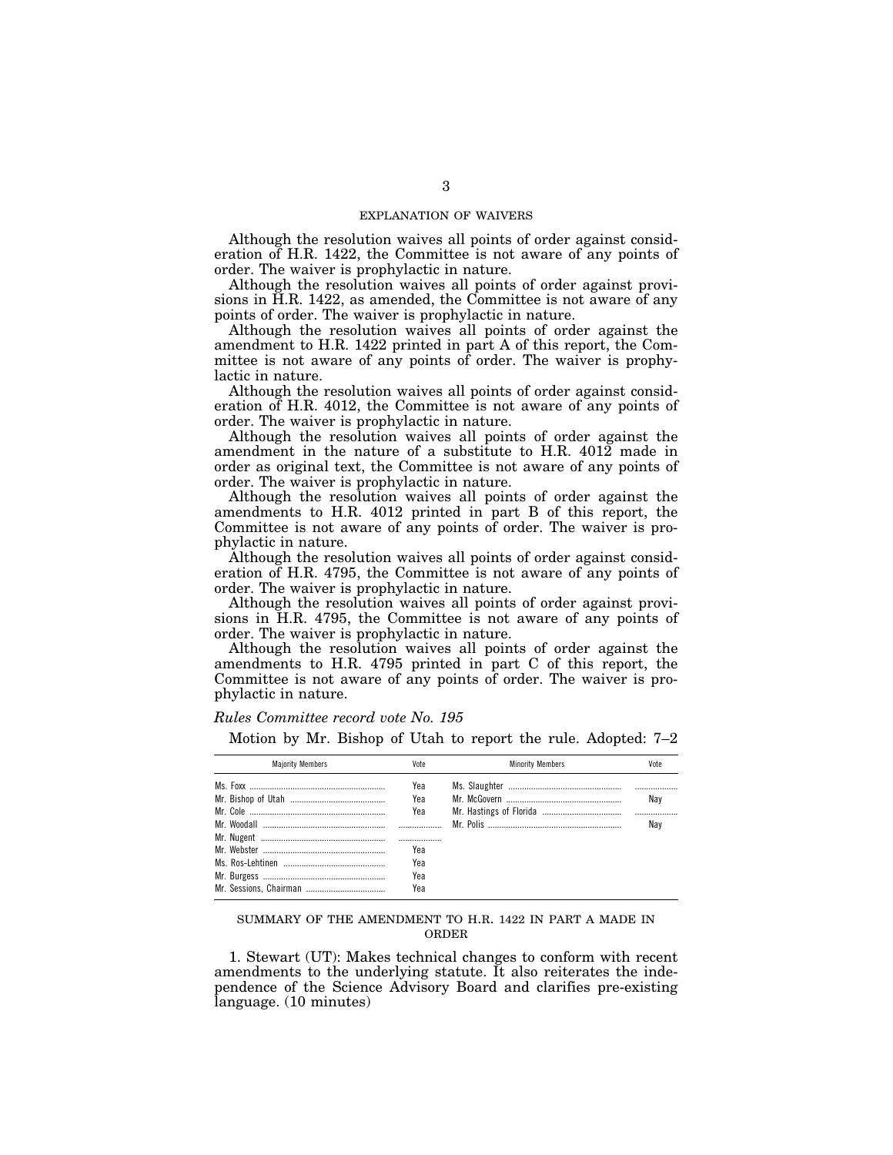# EXPLANATION OF WAIVERS

Although the resolution waives all points of order against consideration of H.R. 1422, the Committee is not aware of any points of order. The waiver is prophylactic in nature.

Although the resolution waives all points of order against provisions in H.R. 1422, as amended, the Committee is not aware of any points of order. The waiver is prophylactic in nature.

Although the resolution waives all points of order against the amendment to H.R. 1422 printed in part A of this report, the Committee is not aware of any points of order. The waiver is prophylactic in nature.

Although the resolution waives all points of order against consideration of H.R. 4012, the Committee is not aware of any points of order. The waiver is prophylactic in nature.

Although the resolution waives all points of order against the amendment in the nature of a substitute to H.R. 4012 made in order as original text, the Committee is not aware of any points of order. The waiver is prophylactic in nature.

Although the resolution waives all points of order against the amendments to H.R. 4012 printed in part B of this report, the Committee is not aware of any points of order. The waiver is prophylactic in nature.

Although the resolution waives all points of order against consideration of H.R. 4795, the Committee is not aware of any points of order. The waiver is prophylactic in nature.

Although the resolution waives all points of order against provisions in H.R. 4795, the Committee is not aware of any points of order. The waiver is prophylactic in nature.

Although the resolution waives all points of order against the amendments to H.R. 4795 printed in part C of this report, the Committee is not aware of any points of order. The waiver is prophylactic in nature.

#### *Rules Committee record vote No. 195*

Motion by Mr. Bishop of Utah to report the rule. Adopted: 7–2

| <b>Maiority Members</b> | Vote | <b>Minority Members</b> | Vote |
|-------------------------|------|-------------------------|------|
|                         | Yea  |                         |      |
|                         | Yea  |                         | Nav  |
|                         | Yea  |                         |      |
|                         |      |                         | Nav  |
|                         |      |                         |      |
|                         | Yea  |                         |      |
|                         | Yea  |                         |      |
|                         | Yea  |                         |      |
|                         | Yea  |                         |      |

#### SUMMARY OF THE AMENDMENT TO H.R. 1422 IN PART A MADE IN ORDER

1. Stewart (UT): Makes technical changes to conform with recent amendments to the underlying statute. It also reiterates the independence of the Science Advisory Board and clarifies pre-existing language. (10 minutes)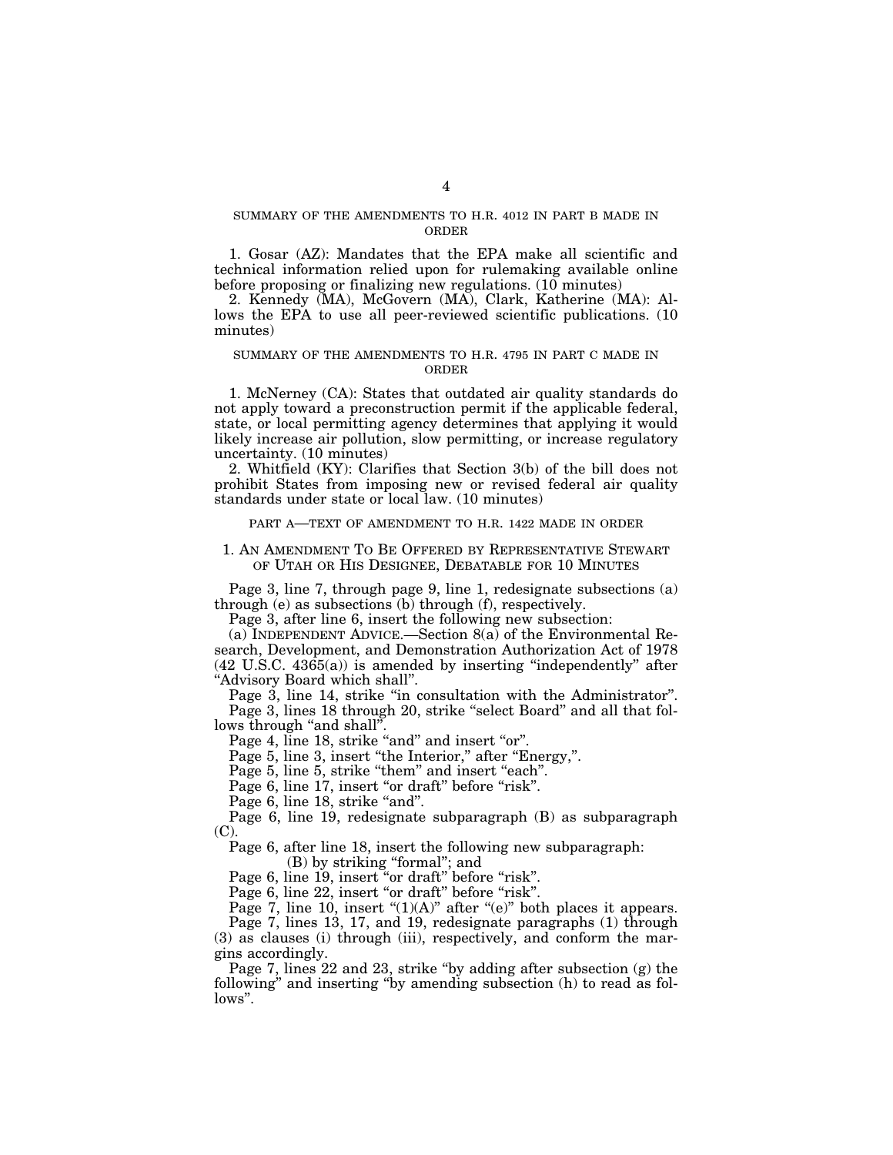# SUMMARY OF THE AMENDMENTS TO H.R. 4012 IN PART B MADE IN ORDER

1. Gosar (AZ): Mandates that the EPA make all scientific and technical information relied upon for rulemaking available online before proposing or finalizing new regulations. (10 minutes)

2. Kennedy (MA), McGovern (MA), Clark, Katherine (MA): Allows the EPA to use all peer-reviewed scientific publications. (10 minutes)

# SUMMARY OF THE AMENDMENTS TO H.R. 4795 IN PART C MADE IN ORDER

1. McNerney (CA): States that outdated air quality standards do not apply toward a preconstruction permit if the applicable federal, state, or local permitting agency determines that applying it would likely increase air pollution, slow permitting, or increase regulatory uncertainty. (10 minutes)

2. Whitfield (KY): Clarifies that Section 3(b) of the bill does not prohibit States from imposing new or revised federal air quality standards under state or local law. (10 minutes)

PART A—TEXT OF AMENDMENT TO H.R. 1422 MADE IN ORDER

# 1. AN AMENDMENT TO BE OFFERED BY REPRESENTATIVE STEWART OF UTAH OR HIS DESIGNEE, DEBATABLE FOR 10 MINUTES

Page 3, line 7, through page 9, line 1, redesignate subsections (a) through (e) as subsections (b) through (f), respectively.

Page 3, after line 6, insert the following new subsection:

(a) INDEPENDENT ADVICE.—Section 8(a) of the Environmental Research, Development, and Demonstration Authorization Act of 1978  $(42 \text{ U.S.C. } 4365(a))$  is amended by inserting "independently" after ''Advisory Board which shall''.

Page 3, line 14, strike "in consultation with the Administrator". Page 3, lines 18 through 20, strike "select Board" and all that follows through "and shall".

Page 4, line 18, strike "and" and insert "or".

Page 5, line 3, insert "the Interior," after "Energy,".

Page 5, line 5, strike "them" and insert "each".

Page 6, line 17, insert "or draft" before "risk".

Page 6, line 18, strike "and".

Page 6, line 19, redesignate subparagraph (B) as subparagraph (C).

Page 6, after line 18, insert the following new subparagraph:

(B) by striking ''formal''; and

Page 6, line 19, insert "or draft" before "risk".

Page 6, line 22, insert "or draft" before "risk".

Page 7, line 10, insert " $(1)(A)$ " after " $(e)$ " both places it appears.

Page 7, lines 13, 17, and 19, redesignate paragraphs (1) through (3) as clauses (i) through (iii), respectively, and conform the margins accordingly.

Page 7, lines 22 and 23, strike "by adding after subsection (g) the following'' and inserting ''by amending subsection (h) to read as follows''.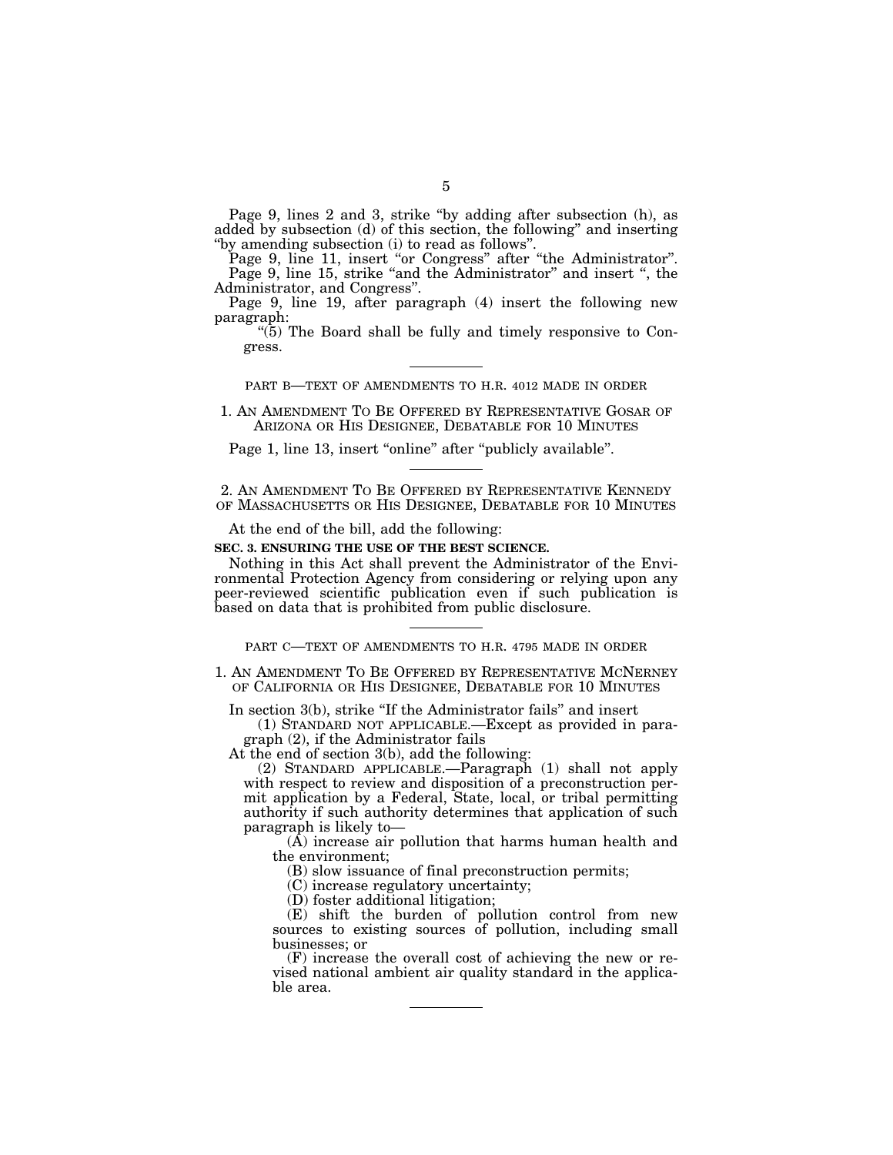Page 9, lines 2 and 3, strike ''by adding after subsection (h), as added by subsection (d) of this section, the following'' and inserting ''by amending subsection (i) to read as follows''.

Page 9, line 11, insert "or Congress" after "the Administrator". Page 9, line 15, strike "and the Administrator" and insert ", the Administrator, and Congress''.

Page 9, line 19, after paragraph (4) insert the following new paragraph:

 $\cdot$ (5) The Board shall be fully and timely responsive to Congress.

PART B—TEXT OF AMENDMENTS TO H.R. 4012 MADE IN ORDER

1. AN AMENDMENT TO BE OFFERED BY REPRESENTATIVE GOSAR OF ARIZONA OR HIS DESIGNEE, DEBATABLE FOR 10 MINUTES

Page 1, line 13, insert "online" after "publicly available".

2. AN AMENDMENT TO BE OFFERED BY REPRESENTATIVE KENNEDY OF MASSACHUSETTS OR HIS DESIGNEE, DEBATABLE FOR 10 MINUTES

At the end of the bill, add the following:

**SEC. 3. ENSURING THE USE OF THE BEST SCIENCE.** 

Nothing in this Act shall prevent the Administrator of the Environmental Protection Agency from considering or relying upon any peer-reviewed scientific publication even if such publication is based on data that is prohibited from public disclosure.

PART C—TEXT OF AMENDMENTS TO H.R. 4795 MADE IN ORDER

1. AN AMENDMENT TO BE OFFERED BY REPRESENTATIVE MCNERNEY OF CALIFORNIA OR HIS DESIGNEE, DEBATABLE FOR 10 MINUTES

In section 3(b), strike "If the Administrator fails" and insert

(1) STANDARD NOT APPLICABLE.—Except as provided in paragraph (2), if the Administrator fails

At the end of section 3(b), add the following:

(2) STANDARD APPLICABLE.—Paragraph (1) shall not apply with respect to review and disposition of a preconstruction permit application by a Federal, State, local, or tribal permitting authority if such authority determines that application of such paragraph is likely to—

(A) increase air pollution that harms human health and the environment;

(B) slow issuance of final preconstruction permits;

(C) increase regulatory uncertainty;

(D) foster additional litigation;

(E) shift the burden of pollution control from new sources to existing sources of pollution, including small businesses; or

(F) increase the overall cost of achieving the new or revised national ambient air quality standard in the applicable area.